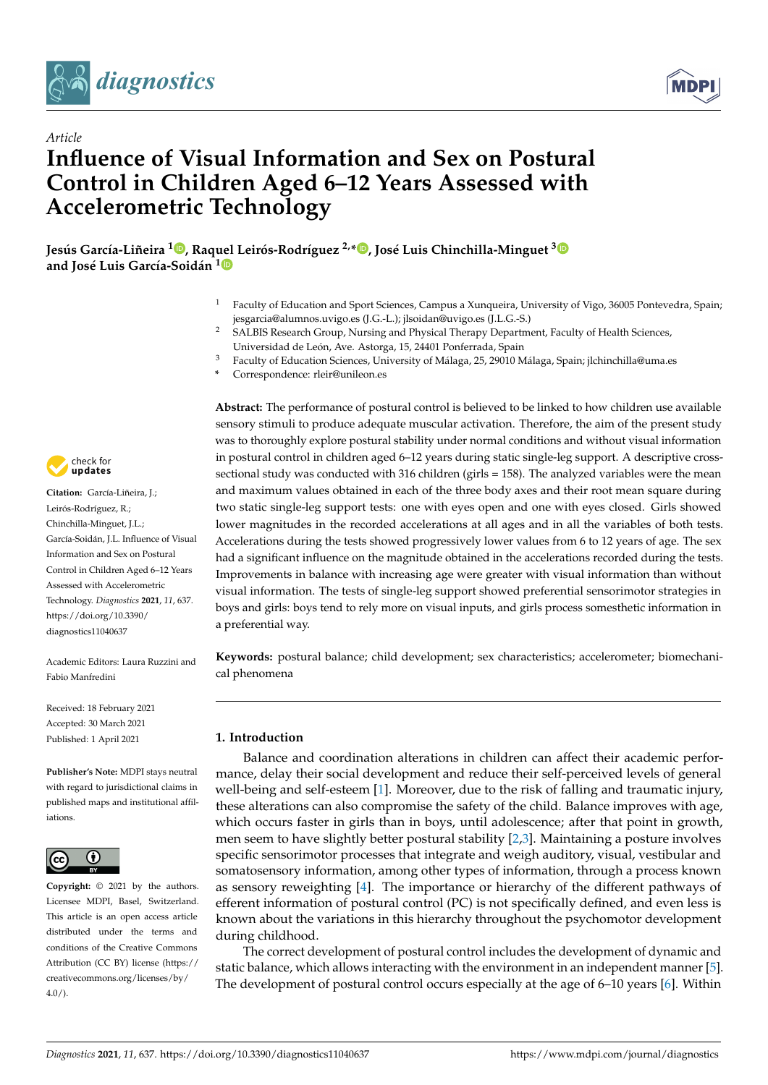

*Article*



# **Influence of Visual Information and Sex on Postural Control in Children Aged 6–12 Years Assessed with Accelerometric Technology**

**Jesús García-Liñeira <sup>1</sup> [,](https://orcid.org/0000-0002-5622-990X) Raquel Leirós-Rodríguez 2,\* [,](https://orcid.org/0000-0001-7502-7644) José Luis Chinchilla-Minguet [3](https://orcid.org/0000-0003-2479-8849) and José Luis García-Soidán [1](https://orcid.org/0000-0001-8795-6731)**

- <sup>1</sup> Faculty of Education and Sport Sciences, Campus a Xunqueira, University of Vigo, 36005 Pontevedra, Spain; jesgarcia@alumnos.uvigo.es (J.G.-L.); jlsoidan@uvigo.es (J.L.G.-S.)
- <sup>2</sup> SALBIS Research Group, Nursing and Physical Therapy Department, Faculty of Health Sciences, Universidad de León, Ave. Astorga, 15, 24401 Ponferrada, Spain
- <sup>3</sup> Faculty of Education Sciences, University of Málaga, 25, 29010 Málaga, Spain; jlchinchilla@uma.es
- **\*** Correspondence: rleir@unileon.es

check for **-**

**Citation:** García-Liñeira, J.; Leirós-Rodríguez, R.; Chinchilla-Minguet, J.L.; García-Soidán, J.L. Influence of Visual Information and Sex on Postural Control in Children Aged 6–12 Years Assessed with Accelerometric Technology. *Diagnostics* **2021**, *11*, 637. [https://doi.org/10.3390/](https://doi.org/10.3390/diagnostics11040637) [diagnostics11040637](https://doi.org/10.3390/diagnostics11040637)

Academic Editors: Laura Ruzzini and Fabio Manfredini

Received: 18 February 2021 Accepted: 30 March 2021 Published: 1 April 2021

**Publisher's Note:** MDPI stays neutral with regard to jurisdictional claims in published maps and institutional affiliations.



**Copyright:** © 2021 by the authors. Licensee MDPI, Basel, Switzerland. This article is an open access article distributed under the terms and conditions of the Creative Commons Attribution (CC BY) license (https:/[/](https://creativecommons.org/licenses/by/4.0/) [creativecommons.org/licenses/by/](https://creativecommons.org/licenses/by/4.0/)  $4.0/$ ).

**Abstract:** The performance of postural control is believed to be linked to how children use available sensory stimuli to produce adequate muscular activation. Therefore, the aim of the present study was to thoroughly explore postural stability under normal conditions and without visual information in postural control in children aged 6–12 years during static single-leg support. A descriptive crosssectional study was conducted with 316 children (girls = 158). The analyzed variables were the mean and maximum values obtained in each of the three body axes and their root mean square during two static single-leg support tests: one with eyes open and one with eyes closed. Girls showed lower magnitudes in the recorded accelerations at all ages and in all the variables of both tests. Accelerations during the tests showed progressively lower values from 6 to 12 years of age. The sex had a significant influence on the magnitude obtained in the accelerations recorded during the tests. Improvements in balance with increasing age were greater with visual information than without visual information. The tests of single-leg support showed preferential sensorimotor strategies in boys and girls: boys tend to rely more on visual inputs, and girls process somesthetic information in a preferential way.

**Keywords:** postural balance; child development; sex characteristics; accelerometer; biomechanical phenomena

# **1. Introduction**

Balance and coordination alterations in children can affect their academic performance, delay their social development and reduce their self-perceived levels of general well-being and self-esteem [\[1\]](#page-9-0). Moreover, due to the risk of falling and traumatic injury, these alterations can also compromise the safety of the child. Balance improves with age, which occurs faster in girls than in boys, until adolescence; after that point in growth, men seem to have slightly better postural stability [\[2](#page-9-1)[,3\]](#page-9-2). Maintaining a posture involves specific sensorimotor processes that integrate and weigh auditory, visual, vestibular and somatosensory information, among other types of information, through a process known as sensory reweighting [\[4\]](#page-9-3). The importance or hierarchy of the different pathways of efferent information of postural control (PC) is not specifically defined, and even less is known about the variations in this hierarchy throughout the psychomotor development during childhood.

The correct development of postural control includes the development of dynamic and static balance, which allows interacting with the environment in an independent manner [\[5\]](#page-9-4). The development of postural control occurs especially at the age of 6–10 years [\[6\]](#page-9-5). Within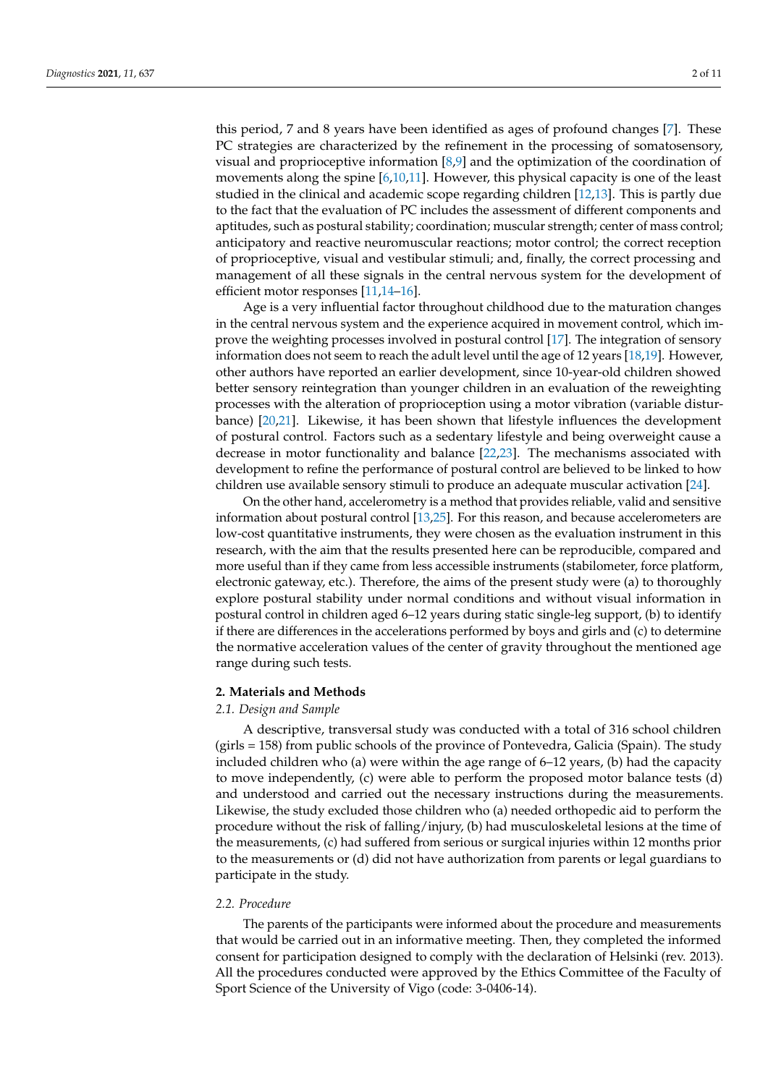this period, 7 and 8 years have been identified as ages of profound changes [\[7\]](#page-9-6). These PC strategies are characterized by the refinement in the processing of somatosensory, visual and proprioceptive information [\[8](#page-9-7)[,9\]](#page-9-8) and the optimization of the coordination of movements along the spine [\[6](#page-9-5)[,10](#page-9-9)[,11\]](#page-9-10). However, this physical capacity is one of the least studied in the clinical and academic scope regarding children [\[12,](#page-9-11)[13\]](#page-9-12). This is partly due to the fact that the evaluation of PC includes the assessment of different components and aptitudes, such as postural stability; coordination; muscular strength; center of mass control; anticipatory and reactive neuromuscular reactions; motor control; the correct reception of proprioceptive, visual and vestibular stimuli; and, finally, the correct processing and management of all these signals in the central nervous system for the development of efficient motor responses [\[11,](#page-9-10)[14–](#page-9-13)[16\]](#page-9-14).

Age is a very influential factor throughout childhood due to the maturation changes in the central nervous system and the experience acquired in movement control, which improve the weighting processes involved in postural control [\[17\]](#page-9-15). The integration of sensory information does not seem to reach the adult level until the age of 12 years [\[18](#page-9-16)[,19\]](#page-9-17). However, other authors have reported an earlier development, since 10-year-old children showed better sensory reintegration than younger children in an evaluation of the reweighting processes with the alteration of proprioception using a motor vibration (variable disturbance) [\[20,](#page-9-18)[21\]](#page-9-19). Likewise, it has been shown that lifestyle influences the development of postural control. Factors such as a sedentary lifestyle and being overweight cause a decrease in motor functionality and balance [\[22](#page-9-20)[,23\]](#page-9-21). The mechanisms associated with development to refine the performance of postural control are believed to be linked to how children use available sensory stimuli to produce an adequate muscular activation [\[24\]](#page-9-22).

On the other hand, accelerometry is a method that provides reliable, valid and sensitive information about postural control [\[13](#page-9-12)[,25\]](#page-9-23). For this reason, and because accelerometers are low-cost quantitative instruments, they were chosen as the evaluation instrument in this research, with the aim that the results presented here can be reproducible, compared and more useful than if they came from less accessible instruments (stabilometer, force platform, electronic gateway, etc.). Therefore, the aims of the present study were (a) to thoroughly explore postural stability under normal conditions and without visual information in postural control in children aged 6–12 years during static single-leg support, (b) to identify if there are differences in the accelerations performed by boys and girls and (c) to determine the normative acceleration values of the center of gravity throughout the mentioned age range during such tests.

#### **2. Materials and Methods**

## *2.1. Design and Sample*

A descriptive, transversal study was conducted with a total of 316 school children (girls = 158) from public schools of the province of Pontevedra, Galicia (Spain). The study included children who (a) were within the age range of 6–12 years, (b) had the capacity to move independently, (c) were able to perform the proposed motor balance tests (d) and understood and carried out the necessary instructions during the measurements. Likewise, the study excluded those children who (a) needed orthopedic aid to perform the procedure without the risk of falling/injury, (b) had musculoskeletal lesions at the time of the measurements, (c) had suffered from serious or surgical injuries within 12 months prior to the measurements or (d) did not have authorization from parents or legal guardians to participate in the study.

## *2.2. Procedure*

The parents of the participants were informed about the procedure and measurements that would be carried out in an informative meeting. Then, they completed the informed consent for participation designed to comply with the declaration of Helsinki (rev. 2013). All the procedures conducted were approved by the Ethics Committee of the Faculty of Sport Science of the University of Vigo (code: 3-0406-14).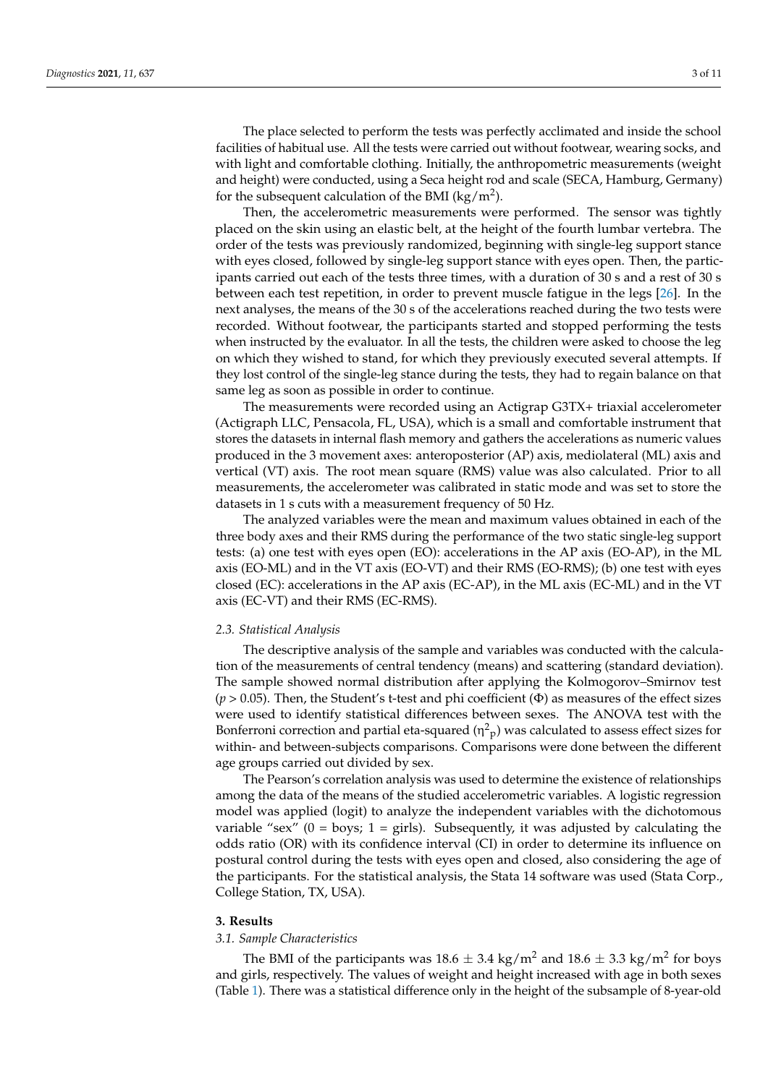The place selected to perform the tests was perfectly acclimated and inside the school facilities of habitual use. All the tests were carried out without footwear, wearing socks, and with light and comfortable clothing. Initially, the anthropometric measurements (weight and height) were conducted, using a Seca height rod and scale (SECA, Hamburg, Germany) for the subsequent calculation of the BMI (kg/m<sup>2</sup>).

Then, the accelerometric measurements were performed. The sensor was tightly placed on the skin using an elastic belt, at the height of the fourth lumbar vertebra. The order of the tests was previously randomized, beginning with single-leg support stance with eyes closed, followed by single-leg support stance with eyes open. Then, the participants carried out each of the tests three times, with a duration of 30 s and a rest of 30 s between each test repetition, in order to prevent muscle fatigue in the legs [\[26\]](#page-9-24). In the next analyses, the means of the 30 s of the accelerations reached during the two tests were recorded. Without footwear, the participants started and stopped performing the tests when instructed by the evaluator. In all the tests, the children were asked to choose the leg on which they wished to stand, for which they previously executed several attempts. If they lost control of the single-leg stance during the tests, they had to regain balance on that same leg as soon as possible in order to continue.

The measurements were recorded using an Actigrap G3TX+ triaxial accelerometer (Actigraph LLC, Pensacola, FL, USA), which is a small and comfortable instrument that stores the datasets in internal flash memory and gathers the accelerations as numeric values produced in the 3 movement axes: anteroposterior (AP) axis, mediolateral (ML) axis and vertical (VT) axis. The root mean square (RMS) value was also calculated. Prior to all measurements, the accelerometer was calibrated in static mode and was set to store the datasets in 1 s cuts with a measurement frequency of 50 Hz.

The analyzed variables were the mean and maximum values obtained in each of the three body axes and their RMS during the performance of the two static single-leg support tests: (a) one test with eyes open (EO): accelerations in the AP axis (EO-AP), in the ML axis (EO-ML) and in the VT axis (EO-VT) and their RMS (EO-RMS); (b) one test with eyes closed (EC): accelerations in the AP axis (EC-AP), in the ML axis (EC-ML) and in the VT axis (EC-VT) and their RMS (EC-RMS).

## *2.3. Statistical Analysis*

The descriptive analysis of the sample and variables was conducted with the calculation of the measurements of central tendency (means) and scattering (standard deviation). The sample showed normal distribution after applying the Kolmogorov–Smirnov test  $(p > 0.05)$ . Then, the Student's t-test and phi coefficient  $(\Phi)$  as measures of the effect sizes were used to identify statistical differences between sexes. The ANOVA test with the Bonferroni correction and partial eta-squared  $(\eta^2$ <sub>p</sub>) was calculated to assess effect sizes for within- and between-subjects comparisons. Comparisons were done between the different age groups carried out divided by sex.

The Pearson's correlation analysis was used to determine the existence of relationships among the data of the means of the studied accelerometric variables. A logistic regression model was applied (logit) to analyze the independent variables with the dichotomous variable "sex" ( $0 = \text{boys}$ ;  $1 = \text{girls}$ ). Subsequently, it was adjusted by calculating the odds ratio (OR) with its confidence interval (CI) in order to determine its influence on postural control during the tests with eyes open and closed, also considering the age of the participants. For the statistical analysis, the Stata 14 software was used (Stata Corp., College Station, TX, USA).

### **3. Results**

#### *3.1. Sample Characteristics*

The BMI of the participants was  $18.6 \pm 3.4$  kg/m<sup>2</sup> and  $18.6 \pm 3.3$  kg/m<sup>2</sup> for boys and girls, respectively. The values of weight and height increased with age in both sexes (Table [1\)](#page-3-0). There was a statistical difference only in the height of the subsample of 8-year-old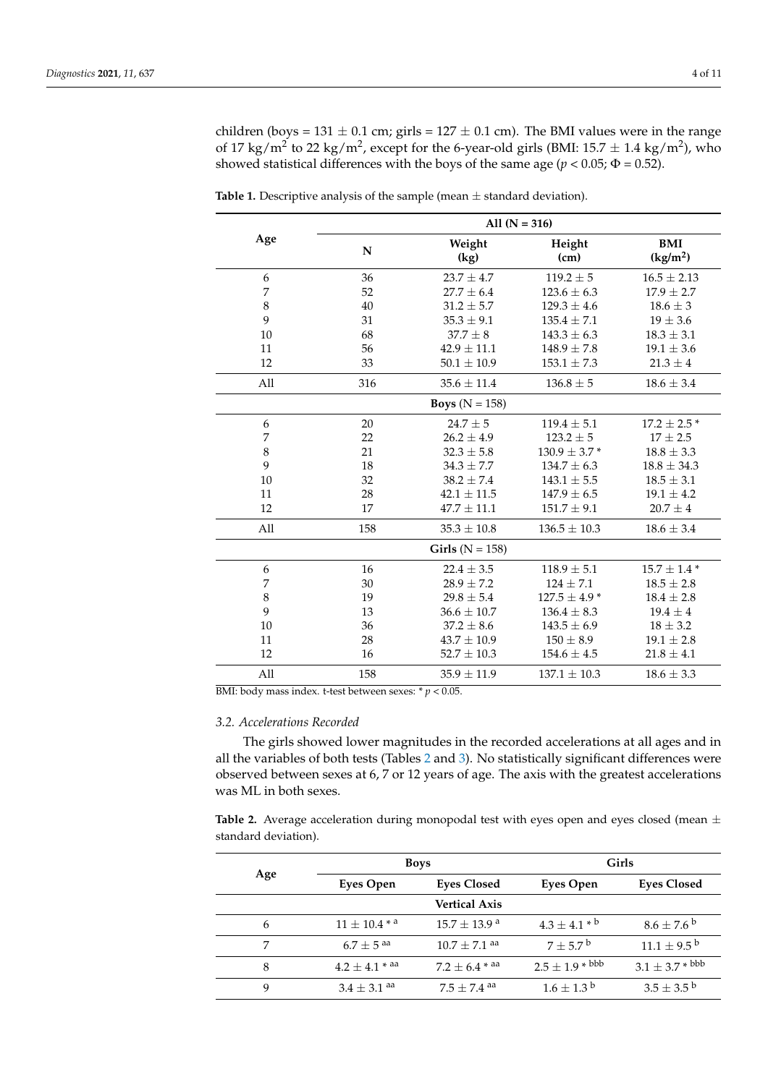children (boys =  $131 \pm 0.1$  cm; girls =  $127 \pm 0.1$  cm). The BMI values were in the range of 17 kg/m<sup>2</sup> to 22 kg/m<sup>2</sup>, except for the 6-year-old girls (BMI: 15.7  $\pm$  1.4 kg/m<sup>2</sup>), who showed statistical differences with the boys of the same age ( $p < 0.05$ ;  $\Phi = 0.52$ ).

|                     | All $(N = 316)$           |                                     |                                    |                                    |  |  |  |
|---------------------|---------------------------|-------------------------------------|------------------------------------|------------------------------------|--|--|--|
| Age                 | N                         | Weight<br>(kg)                      | Height<br>(cm)                     | <b>BMI</b><br>(kg/m <sup>2</sup> ) |  |  |  |
| 6                   | 36                        | $23.7 \pm 4.7$                      | $119.2 \pm 5$                      | $16.5 \pm 2.13$                    |  |  |  |
| $\overline{7}$      | 52                        | $27.7 \pm 6.4$                      | $123.6 \pm 6.3$                    | $17.9 \pm 2.7$                     |  |  |  |
| $\,8\,$             | 40                        | $31.2 \pm 5.7$                      | $129.3 \pm 4.6$                    | $18.6 \pm 3$                       |  |  |  |
| 9                   | 31                        | $35.3 \pm 9.1$                      | $135.4 \pm 7.1$                    | $19 \pm 3.6$                       |  |  |  |
| 10                  | 68                        | $37.7 \pm 8$                        | $143.3 \pm 6.3$                    | $18.3 \pm 3.1$                     |  |  |  |
| 11                  | 56                        | $42.9 \pm 11.1$                     | $148.9 \pm 7.8$                    | $19.1 \pm 3.6$                     |  |  |  |
| 12                  | 33                        | $50.1 \pm 10.9$<br>$153.1 \pm 7.3$  |                                    | $21.3 \pm 4$                       |  |  |  |
| All                 | 316                       | $35.6 \pm 11.4$<br>$136.8 \pm 5$    |                                    | $18.6 \pm 3.4$                     |  |  |  |
|                     | <b>Boys</b> ( $N = 158$ ) |                                     |                                    |                                    |  |  |  |
| $\boldsymbol{6}$    | 20                        | $24.7\pm5$                          | $119.4 \pm 5.1$                    |                                    |  |  |  |
| 7                   | 22                        | $26.2 \pm 4.9$<br>$123.2 \pm 5$     |                                    | $17 \pm 2.5$                       |  |  |  |
| $\,$ 8 $\,$         | 21                        | $130.9 \pm 3.7$ *<br>$32.3\pm5.8$   |                                    | $18.8 \pm 3.3$                     |  |  |  |
| 9                   | 18                        | $34.3 \pm 7.7$<br>$134.7 \pm 6.3$   |                                    | $18.8 \pm 34.3$                    |  |  |  |
| 10                  | 32                        | $38.2 \pm 7.4$                      | $143.1 \pm 5.5$                    |                                    |  |  |  |
| 11                  | 28                        | $42.1 \pm 11.5$<br>$147.9 \pm 6.5$  |                                    | $19.1 \pm 4.2$                     |  |  |  |
| 12                  | 17                        | $47.7 \pm 11.1$                     | $151.7 \pm 9.1$                    | $20.7 \pm 4$                       |  |  |  |
| All                 | 158                       | $35.3 \pm 10.8$<br>$136.5 \pm 10.3$ |                                    | $18.6 \pm 3.4$                     |  |  |  |
| Girls ( $N = 158$ ) |                           |                                     |                                    |                                    |  |  |  |
| 6                   | 16                        | $22.4 \pm 3.5$                      | $118.9 \pm 5.1$                    | $15.7 \pm 1.4$ *                   |  |  |  |
| 7                   | 30                        | $28.9 \pm 7.2$                      | $124 \pm 7.1$                      | $18.5 \pm 2.8$                     |  |  |  |
| $\,$ 8 $\,$         | 19                        | $127.5 \pm 4.9$ *<br>$29.8 \pm 5.4$ |                                    | $18.4 \pm 2.8$                     |  |  |  |
| 9                   | 13                        | $36.6 \pm 10.7$<br>$136.4 \pm 8.3$  |                                    | $19.4 \pm 4$                       |  |  |  |
| 10                  | 36                        | $37.2 \pm 8.6$                      | $143.5 \pm 6.9$                    | $18 \pm 3.2$                       |  |  |  |
| 11                  | 28                        | $43.7 \pm 10.9$                     | $150 \pm 8.9$                      | $19.1 \pm 2.8$                     |  |  |  |
| 12                  | 16                        | $52.7 \pm 10.3$<br>$154.6 \pm 4.5$  |                                    | $21.8 \pm 4.1$                     |  |  |  |
| All                 | 158                       | $35.9 \pm 11.9$                     | $137.1 \pm 10.3$<br>$18.6 \pm 3.3$ |                                    |  |  |  |

<span id="page-3-0"></span>**Table 1.** Descriptive analysis of the sample (mean  $\pm$  standard deviation).

BMI: body mass index. t-test between sexes: \* *p* < 0.05.

#### *3.2. Accelerations Recorded*

The girls showed lower magnitudes in the recorded accelerations at all ages and in all the variables of both tests (Tables [2](#page-4-0) and [3\)](#page-6-0). No statistically significant differences were observed between sexes at 6, 7 or 12 years of age. The axis with the greatest accelerations was ML in both sexes.

Table 2. Average acceleration during monopodal test with eyes open and eyes closed (mean  $\pm$ standard deviation).

| Age | <b>Boys</b>                  |                              | Girls                  |                             |  |
|-----|------------------------------|------------------------------|------------------------|-----------------------------|--|
|     | <b>Eyes Open</b>             | <b>Eyes Closed</b>           | Eyes Open              | <b>Eyes Closed</b>          |  |
|     |                              | <b>Vertical Axis</b>         |                        |                             |  |
| 6   | $11 \pm 10.4$ * <sup>a</sup> | $15.7 + 13.9$ <sup>a</sup>   | $4.3 + 4.1 * b$        | $8.6 \pm 7.6^{\circ}$       |  |
|     | $6.7 + 5$ <sup>aa</sup>      | $10.7 \pm 7.1$ <sup>aa</sup> | $7 + 5.7^{\circ}$      | $11.1 \pm 9.5^{\mathrm{b}}$ |  |
| 8   | $4.2 \pm 4.1$ * aa           | $7.2 \pm 6.4$ * aa           | $2.5 \pm 1.9 * ^{bbb}$ | $3.1 \pm 3.7 * ^{bbb}$      |  |
| 9   | $3.4 + 3.1$ aa               | $7.5 + 7.4$ <sup>aa</sup>    | $1.6 + 1.3^{b}$        | $3.5 \pm 3.5^{\circ b}$     |  |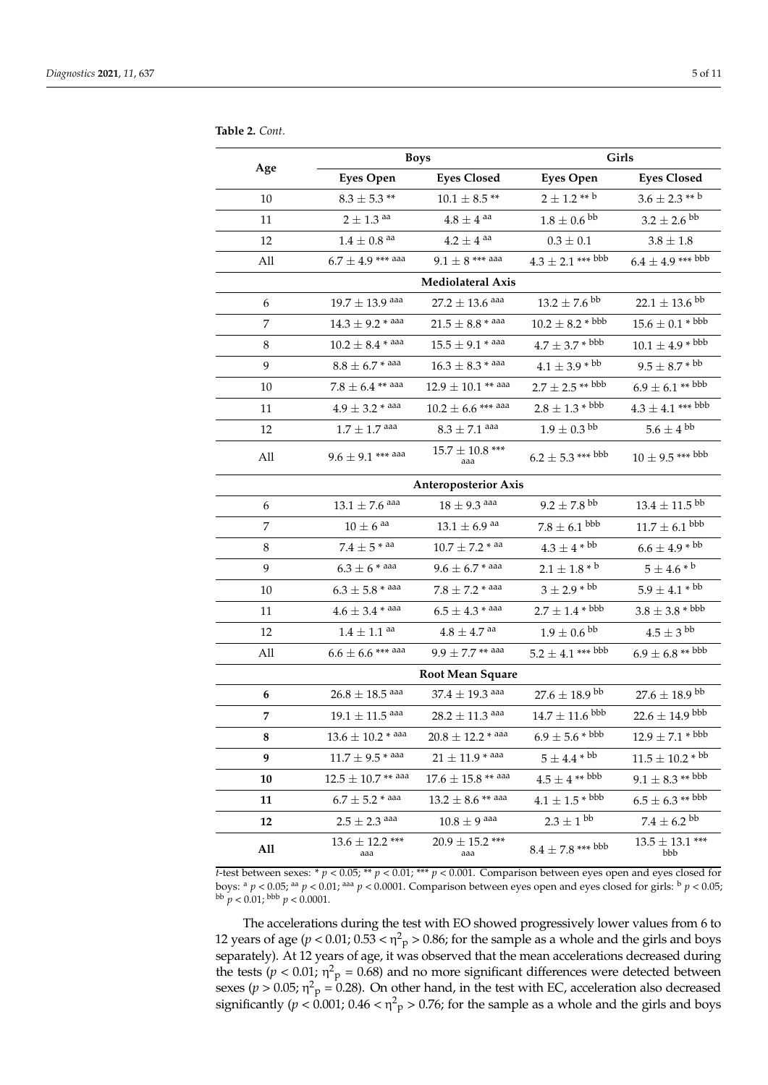<span id="page-4-0"></span>**Table 2.** *Cont.*

| Age                         | <b>Boys</b>                   |                            | Girls                                |                                  |  |  |
|-----------------------------|-------------------------------|----------------------------|--------------------------------------|----------------------------------|--|--|
|                             | <b>Eyes Open</b>              | <b>Eyes Closed</b>         | <b>Eyes Open</b>                     | <b>Eyes Closed</b>               |  |  |
| 10                          | $8.3 \pm 5.3$ **              | $10.1$ $\pm$ 8.5 $^{**}$   | $2\pm1.2$ $^{**}$ $^{b}$             | $3.6 \pm 2.3$ ** $^{\rm b}$      |  |  |
| 11                          | $2\pm1.3$ aa                  | $4.8 \pm 4$ aa             | $1.8\pm0.6$ $^{\rm bb}$              | $3.2 \pm 2.6$ <sup>bb</sup>      |  |  |
| 12                          | $1.4\pm0.8$ aa                | $4.2 \pm 4$ aa             | $0.3 \pm 0.1$                        | $3.8 \pm 1.8$                    |  |  |
| All                         | $6.7 \pm 4.9$ *** aaa         | $9.1 \pm 8$ *** aaa        | $4.3 \pm 2.1$ *** bbb                | $6.4 \pm 4.9$ *** bbb            |  |  |
|                             | Mediolateral Axis             |                            |                                      |                                  |  |  |
| 6                           | $19.7 \pm 13.9$ aaa           | $27.2 \pm 13.6$ aaa        | $13.2 \pm 7.6$ <sup>bb</sup>         | $22.1 \pm 13.6$ <sup>bb</sup>    |  |  |
| 7                           | $14.3 \pm 9.2$ * aaa          | $21.5 \pm 8.8$ * aaa       | $10.2 \pm 8.2 * ^ {bbb}$             | $15.6\pm0.1$ * $^{\mathrm{bbb}}$ |  |  |
| 8                           | $10.2 \pm 8.4$ * aaa          | $15.5 \pm 9.1$ * aaa       | $4.7 \pm 3.7 *$ <sup>bbb</sup>       | $10.1 \pm 4.9$ * bbb             |  |  |
| 9                           | $8.8 \pm 6.7$ * aaa           | $16.3 \pm 8.3$ * aaa       | $4.1 \pm 3.9 * ^{bb}$                | $9.5\pm8.7$ * $^{\rm bb}$        |  |  |
| 10                          | $7.8 \pm 6.4$ ** aaa          | $12.9 \pm 10.1$ ** aaa     | $2.7 \pm 2.5$ ** bbb                 | $6.9 \pm 6.1$ ** bbb             |  |  |
| 11                          | $4.9 \pm 3.2$ * aaa           | $10.2 \pm 6.6$ *** aaa     | $2.8 \pm 1.3 * ^{bbb}$               | $4.3 \pm 4.1$ *** bbb            |  |  |
| 12                          | $1.7 \pm 1.7$ aaa             | $8.3 \pm 7.1$ aaa          | $1.9 \pm 0.3$ <sup>bb</sup>          | $5.6\pm4\,\mathrm{^{bb}}$        |  |  |
| All                         | $9.6 \pm 9.1$ *** aaa         | $15.7 \pm 10.8$ ***<br>aaa | $6.2 \pm 5.3$ *** bbb                | $10 \pm 9.5$ *** bbb             |  |  |
| <b>Anteroposterior Axis</b> |                               |                            |                                      |                                  |  |  |
| 6                           | $13.1\pm7.6$ aaa              | $18 \pm 9.3$ aaa           | $9.2\pm7.8$ $^{\rm bb}$              | $13.4 \pm 11.5$ <sup>bb</sup>    |  |  |
| 7                           | $10 \pm 6$ aa                 | $13.1 \pm 6.9$ aa          | $7.8\pm6.1$ $^{\text{bbb}}$          | $11.7 \pm 6.1$ bbb               |  |  |
| 8                           | $7.4\pm5$ * $^{\rm{aa}}$      | $10.7 \pm 7.2$ * aa        | $4.3 \pm 4*^{bb}$                    | $6.6 \pm 4.9 * ^{bb}$            |  |  |
| 9                           | $6.3 \pm 6$ * aaa             | $9.6 \pm 6.7$ * aaa        | $2.1\pm1.8$ * $^{\rm b}$             | $5\pm4.6$ * $^{\rm b}$           |  |  |
| 10                          | $6.3\pm5.8$ * aaa             | $7.8 \pm 7.2$ * aaa        | $3 \pm 2.9 * ^{bb}$                  | $5.9 \pm 4.1$ * $^{\rm bb}$      |  |  |
| 11                          | $4.6 \pm 3.4$ * $^{\rm{aaa}}$ | $6.5 \pm 4.3$ * aaa        | $2.7\pm1.4$ * bbb                    | $3.8 \pm 3.8 * ^{\text{bbb}}$    |  |  |
| 12                          | $1.4\pm1.1$ aa                | $4.8\pm4.7$ $^{\rm{aa}}$   | $1.9\pm0.6$ $^{\text{bb}}$           | $4.5 \pm 3$ <sup>bb</sup>        |  |  |
| All                         | $6.6 \pm 6.6$ *** aaa         | $9.9 + 7.7$ ** aaa         | $5.2 \pm 4.1$ *** bbb                | $6.9 \pm 6.8$ ** bbb             |  |  |
|                             | <b>Root Mean Square</b>       |                            |                                      |                                  |  |  |
| 6                           | $26.8 \pm 18.5$ aaa           | $37.4 \pm 19.3$ aaa        | $27.6 \pm 18.9$ bb                   | $27.6\pm18.9$ $^{\rm bb}$        |  |  |
| 7                           | $19.1 \pm 11.5$ aaa           | $28.2 \pm 11.3$ aaa        | $14.7 \pm 11.6$ bbb                  | $22.6 \pm 14.9$ <sup>bbb</sup>   |  |  |
| 8                           | $13.6\pm10.2$ * aaa           | $20.8 \pm 12.2$ * aaa      | $6.9 \pm 5.6 * ^{bbb}$               | $12.9 \pm 7.1 * ^{bbb}$          |  |  |
| 9                           | $11.7 \pm 9.5$ * aaa          | $21 \pm 11.9$ * aaa        | $5 \pm 4.4$ * bb                     | $11.5 \pm 10.2 * ^{bb}$          |  |  |
| 10                          | $12.5 \pm 10.7$ ** aaa        | $17.6 \pm 15.8$ ** aaa     | $4.5\pm4$ $\rm ^{\ast\ast\,bb{b}bb}$ | $9.1 \pm 8.3$ ** bbb             |  |  |
| 11                          | $6.7 \pm 5.2$ * aaa           | $13.2 \pm 8.6$ ** aaa      | $4.1 \pm 1.5 * ^ {bbb}$              | $6.5 \pm 6.3$ ** bbb             |  |  |
| 12                          | $2.5\pm2.3$ aaa               | $10.8\pm9$ aaa             | $2.3\pm1{\rm ~bb}$                   | $7.4\pm6.2$ $^{\rm bb}$          |  |  |
| All                         | $13.6 \pm 12.2$ ***<br>aaa    | $20.9 \pm 15.2$ ***<br>aaa | $8.4\pm7.8$ *** bbb                  | $13.5 \pm 13.1$ ***<br>bbb       |  |  |

*t*-test between sexes: \*  $p < 0.05$ ; \*\*  $p < 0.01$ ; \*\*\*  $p < 0.001$ . Comparison between eyes open and eyes closed for boys: <sup>a</sup> *p* < 0.05; aa *p* < 0.01; aaa *p* < 0.0001. Comparison between eyes open and eyes closed for girls: <sup>b</sup> *p* < 0.05;  $^{bb}$  *p* < 0.01;  $^{bbb}$  *p* < 0.0001.

The accelerations during the test with EO showed progressively lower values from 6 to 12 years of age ( $p < 0.01$ ;  $0.53 < \eta^2$ <sub>p</sub> > 0.86; for the sample as a whole and the girls and boys separately). At 12 years of age, it was observed that the mean accelerations decreased during the tests ( $p < 0.01$ ;  $\eta^2$ <sub>p</sub> = 0.68) and no more significant differences were detected between sexes ( $p > 0.05$ ;  $\eta^2$ <sub>p</sub> = 0.28). On other hand, in the test with EC, acceleration also decreased significantly ( $p < 0.001$ ;  $0.46 < \eta^2$ <sub>p</sub> > 0.76; for the sample as a whole and the girls and boys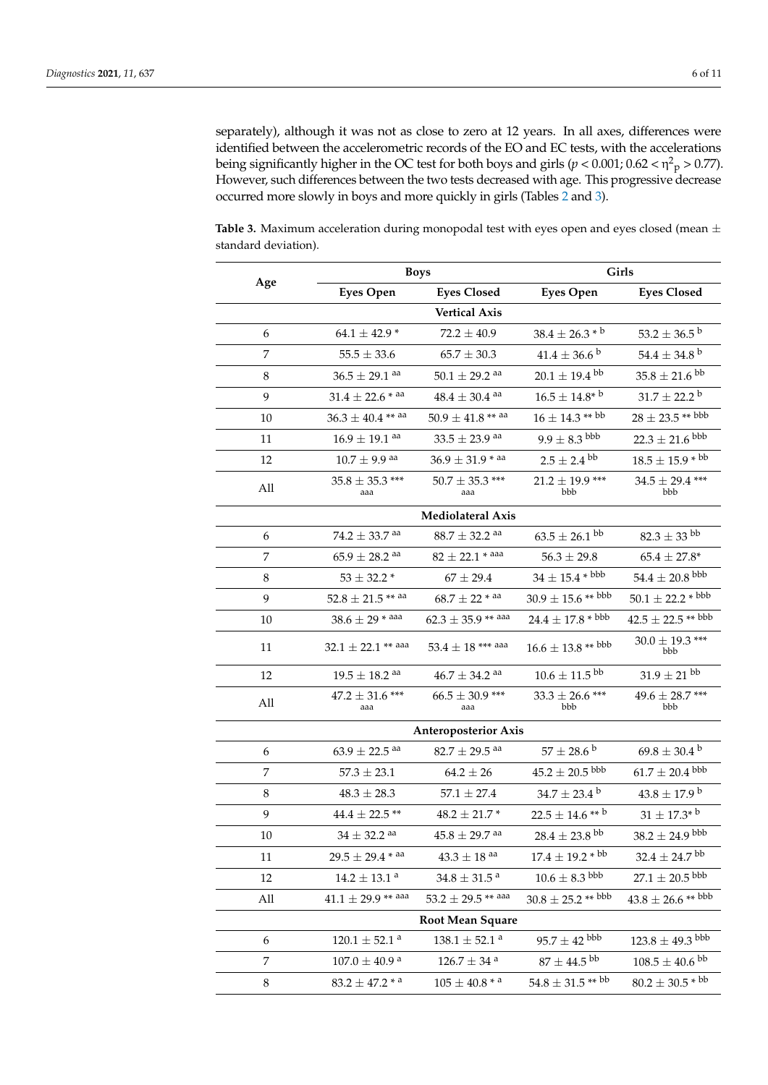separately), although it was not as close to zero at 12 years. In all axes, differences were identified between the accelerometric records of the EO and EC tests, with the accelerations being significantly higher in the OC test for both boys and girls ( $p < 0.001; 0.62 < \eta^2$ <sub>p</sub>  $> 0.77$ ). However, such differences between the two tests decreased with age. This progressive decrease occurred more slowly in boys and more quickly in girls (Tables [2](#page-4-0) and [3\)](#page-6-0).

**Table 3.** Maximum acceleration during monopodal test with eyes open and eyes closed (mean  $\pm$ standard deviation).

|                | <b>Boys</b>                               |                               | Girls                          |                                       |  |  |
|----------------|-------------------------------------------|-------------------------------|--------------------------------|---------------------------------------|--|--|
| Age            | <b>Eyes Open</b>                          | <b>Eyes Closed</b>            | <b>Eyes Open</b>               | <b>Eyes Closed</b>                    |  |  |
|                |                                           | <b>Vertical Axis</b>          |                                |                                       |  |  |
| 6              | 64.1 $\pm$ 42.9 $*$                       | $72.2 \pm 40.9$               | $38.4 \pm 26.3 * b$            | 53.2 $\pm$ 36.5 <sup>b</sup>          |  |  |
| $\overline{7}$ | $55.5 \pm 33.6$                           | $65.7 \pm 30.3$               | $41.4\pm36.6$ b                | $54.4 \pm 34.8^{\text{ b}}$           |  |  |
| 8              | $36.5 \pm 29.1$ aa                        | $50.1 \pm 29.2$ <sup>aa</sup> | $20.1 \pm 19.4$ <sup>bb</sup>  | $35.8 \pm 21.6$ <sup>bb</sup>         |  |  |
| 9              | $31.4 \pm 22.6$ * aa                      | $48.4 \pm 30.4$ <sup>aa</sup> | $16.5 \pm 14.8^{*}$ b          | $31.7\pm22.2$ b                       |  |  |
| 10             | $36.3 \pm 40.4$ ** aa                     | $50.9 \pm 41.8$ ** aa         | $16 \pm 14.3$ ** bb            | $28 \pm 23.5$ ** bbb                  |  |  |
| 11             | $16.9 \pm 19.1$ aa                        | $33.5 \pm 23.9$ aa            | $9.9 \pm 8.3$ $^{\text{bbb}}$  | $22.3 \pm 21.6$ bbb                   |  |  |
| 12             | $10.7 \pm 9.9$ <sup>aa</sup>              | $36.9 \pm 31.9$ * aa          | $2.5 \pm 2.4$ <sup>bb</sup>    | $18.5 \pm 15.9 * ^{bb}$               |  |  |
| All            | $35.8 \pm 35.3$ ***<br>aaa                | $50.7 \pm 35.3$ ***<br>aaa    | $21.2 \pm 19.9$ ***<br>bbb     |                                       |  |  |
|                |                                           | <b>Mediolateral Axis</b>      |                                |                                       |  |  |
| 6              | $74.2 \pm 33.7$ aa                        | $88.7 \pm 32.2$ <sup>aa</sup> | $63.5 \pm 26.1$ <sup>bb</sup>  | $82.3\pm33$ $^{\rm bb}$               |  |  |
| 7              | $65.9 \pm 28.2$ <sup>aa</sup>             | $82 \pm 22.1$ * aaa           | $56.3 \pm 29.8$                | $65.4 \pm 27.8^*$                     |  |  |
| $\,8\,$        | $53\pm32.2$ *                             | $67 \pm 29.4$                 | $34 \pm 15.4$ * bbb            | $54.4 \pm 20.8$ $^{\textnormal{bbb}}$ |  |  |
| 9              | $52.8 \pm 21.5$ ** aa                     | $68.7 \pm 22$ * aa            | $30.9 \pm 15.6$ ** bbb         | $50.1 \pm 22.2 * ^ {bbb}$             |  |  |
| 10             | $38.6 \pm 29$ * aaa                       | $62.3 + 35.9$ ** aaa          | $24.4 \pm 17.8 * ^{bbb}$       | $42.5 \pm 22.5$ ** bbb                |  |  |
| 11             | $32.1 \pm 22.1$ ** aaa                    | $53.4 \pm 18$ *** aaa         | $16.6 \pm 13.8**$ bbb          | $30.0 \pm 19.3$ ***<br>bbb            |  |  |
| 12             | $19.5 \pm 18.2$ aa                        | $46.7 \pm 34.2$ aa            | $10.6\pm11.5$ $^{\text{bb}}$   | $31.9 \pm 21^{\text{ bb}}$            |  |  |
| All            | $47.2 \pm 31.6$ ***<br>aaa                | $66.5 \pm 30.9$ ***<br>aaa    | $33.3 \pm 26.6$ ***<br>bbb     | $49.6 \pm 28.7$ ***<br>bbb            |  |  |
|                |                                           | <b>Anteroposterior Axis</b>   |                                |                                       |  |  |
| 6              | $63.9 \pm 22.5$ <sup>aa</sup>             | $82.7 \pm 29.5$ <sup>aa</sup> | $57 \pm 28.6^{\text{ b}}$      | $69.8 \pm 30.4^{\mathrm{b}}$          |  |  |
| 7              | $57.3 \pm 23.1$                           | $64.2 \pm 26$                 | $45.2 \pm 20.5$ <sup>bbb</sup> | $61.7 \pm 20.4$ bbb                   |  |  |
| 8              | $48.3 \pm 28.3$                           | $57.1 \pm 27.4$               | $34.7 \pm 23.4^{\mathrm{b}}$   | $43.8\pm17.9$ $^{\rm b}$              |  |  |
| 9              | $44.4 \pm 22.5$ **                        | $48.2 \pm 21.7$ *             | $22.5 \pm 14.6$ ** b           | $31\pm17.3^*$ b                       |  |  |
| 10             | $34\pm32.2$ $^{\rm aa}$                   | $45.8\pm29.7$ aa              | $28.4\pm23.8$ $^{\text{bb}}$   | $38.2\pm24.9$ $^{\text{bbb}}$         |  |  |
| 11             | $29.5 \pm 29.4$ * aa                      | $43.3\pm18$ aa                | $17.4 \pm 19.2 * ^{bb}$        | $32.4 \pm 24.7$ <sup>bb</sup>         |  |  |
| 12             | $14.2\pm13.1$ a                           | $34.8 \pm 31.5$ <sup>a</sup>  | $10.6 \pm 8.3$ bbb             | $27.1 \pm 20.5$ <sup>bbb</sup>        |  |  |
| All            | $41.1 \pm 29.9$ ** aaa                    | 53.2 $\pm$ 29.5 ** aaa        | $30.8 \pm 25.2$ ** bbb         | $43.8 \pm 26.6$ ** bbb                |  |  |
|                | Root Mean Square                          |                               |                                |                                       |  |  |
| 6              | $120.1\pm52.1$ $^{\rm a}$                 | $138.1 \pm 52.1$ <sup>a</sup> | $95.7 \pm 42$ $^{\rm bbb}$     | $123.8 \pm 49.3$ bbb                  |  |  |
| $\overline{7}$ | $107.0\pm40.9$ $^{\rm a}$                 | $126.7\pm34$ $^{\rm a}$       | $87 \pm 44.5$ <sup>bb</sup>    | $108.5\pm40.6$ $^{\mathrm{bb}}$       |  |  |
| 8              | $83.2 \pm 47.2$ <sup>*</sup> <sup>a</sup> | $105 \pm 40.8$ * <sup>a</sup> | $54.8 \pm 31.5$ ** bb          | $80.2 \pm 30.5 * ^{bb}$               |  |  |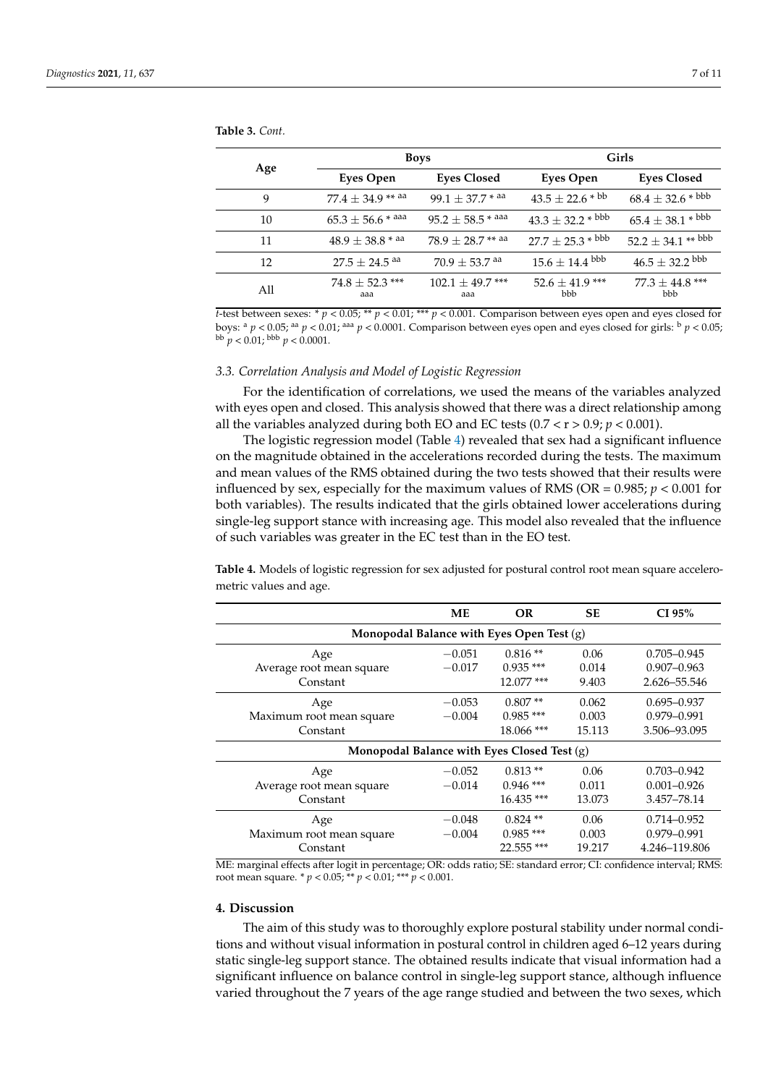<span id="page-6-0"></span>**Table 3.** *Cont.*

| Age | <b>Boys</b>                   |                             | Girls                          |                            |  |
|-----|-------------------------------|-----------------------------|--------------------------------|----------------------------|--|
|     | Eyes Open                     | <b>Eyes Closed</b>          | Eyes Open                      | <b>Eyes Closed</b>         |  |
| 9   | 77.4 $\pm$ 34.9 ** aa         | 99.1 $\pm$ 37.7 $*$ aa      | $43.5 \pm 22.6 * ^{bb}$        | $68.4 \pm 32.6 * ^{bbb}$   |  |
| 10  | $65.3 \pm 56.6$ * aaa         | $95.2 \pm 58.5$ * aaa       | $43.3 \pm 32.2 * ^{bbb}$       | $65.4 \pm 38.1 * ^{bbb}$   |  |
| 11  | $48.9 \pm 38.8$ * aa          | $78.9 \pm 28.7$ ** aa       | $27.7 \pm 25.3 * ^{bbb}$       | $52.2 \pm 34.1$ ** bbb     |  |
| 12  | $27.5 \pm 24.5$ <sup>aa</sup> | $70.9 \pm 53.7$ aa          | $15.6 \pm 14.4$ <sup>bbb</sup> | $46.5 \pm 32.2$ bbb        |  |
| All | $74.8 \pm 52.3$ ***<br>aaa    | $102.1 \pm 49.7$ ***<br>aaa | $52.6 \pm 41.9$ ***<br>bbb     | $77.3 \pm 44.8$ ***<br>bbb |  |

*t*-test between sexes: \*  $p < 0.05$ ; \*\*  $p < 0.01$ ; \*\*\*  $p < 0.001$ . Comparison between eyes open and eyes closed for boys: <sup>a</sup> *p* < 0.05; aa *p* < 0.01; aaa *p* < 0.0001. Comparison between eyes open and eyes closed for girls: <sup>b</sup> *p* < 0.05;  $b^{\text{b}} p < 0.01$ ;  $b^{\text{b}} p < 0.0001$ .

## *3.3. Correlation Analysis and Model of Logistic Regression*

For the identification of correlations, we used the means of the variables analyzed with eyes open and closed. This analysis showed that there was a direct relationship among all the variables analyzed during both EO and EC tests  $(0.7 < r > 0.9; p < 0.001)$ .

The logistic regression model (Table [4\)](#page-6-1) revealed that sex had a significant influence on the magnitude obtained in the accelerations recorded during the tests. The maximum and mean values of the RMS obtained during the two tests showed that their results were influenced by sex, especially for the maximum values of RMS (OR =  $0.985$ ;  $p < 0.001$  for both variables). The results indicated that the girls obtained lower accelerations during single-leg support stance with increasing age. This model also revealed that the influence of such variables was greater in the EC test than in the EO test.

<span id="page-6-1"></span>**Table 4.** Models of logistic regression for sex adjusted for postural control root mean square accelerometric values and age.

|                                             | МE       | OR.         | <b>SE</b> | CI 95%          |  |
|---------------------------------------------|----------|-------------|-----------|-----------------|--|
| Monopodal Balance with Eyes Open Test $(g)$ |          |             |           |                 |  |
| Age                                         | $-0.051$ | $0.816**$   | 0.06      | $0.705 - 0.945$ |  |
| Average root mean square                    | $-0.017$ | $0.935$ *** | 0.014     | $0.907 - 0.963$ |  |
| Constant                                    |          | 12.077 ***  | 9.403     | 2.626-55.546    |  |
| Age                                         | $-0.053$ | $0.807**$   | 0.062     | $0.695 - 0.937$ |  |
| Maximum root mean square                    | $-0.004$ | $0.985$ *** | 0.003     | 0.979-0.991     |  |
| Constant                                    |          | 18.066 ***  | 15.113    | 3.506-93.095    |  |
| Monopodal Balance with Eyes Closed Test (g) |          |             |           |                 |  |
| Age                                         | $-0.052$ | $0.813**$   | 0.06      | $0.703 - 0.942$ |  |
| Average root mean square                    | $-0.014$ | $0.946$ *** | 0.011     | $0.001 - 0.926$ |  |
| Constant                                    |          | $16.435***$ | 13.073    | 3.457-78.14     |  |
| Age                                         | $-0.048$ | $0.824$ **  | 0.06      | 0.714-0.952     |  |
| Maximum root mean square                    | $-0.004$ | $0.985$ *** | 0.003     | 0.979-0.991     |  |
| Constant                                    |          | 22.555 ***  | 19.217    | 4.246-119.806   |  |

ME: marginal effects after logit in percentage; OR: odds ratio; SE: standard error; CI: confidence interval; RMS: root mean square. \* *p* < 0.05; \*\* *p* < 0.01; \*\*\* *p* < 0.001.

# **4. Discussion**

The aim of this study was to thoroughly explore postural stability under normal conditions and without visual information in postural control in children aged 6–12 years during static single-leg support stance. The obtained results indicate that visual information had a significant influence on balance control in single-leg support stance, although influence varied throughout the 7 years of the age range studied and between the two sexes, which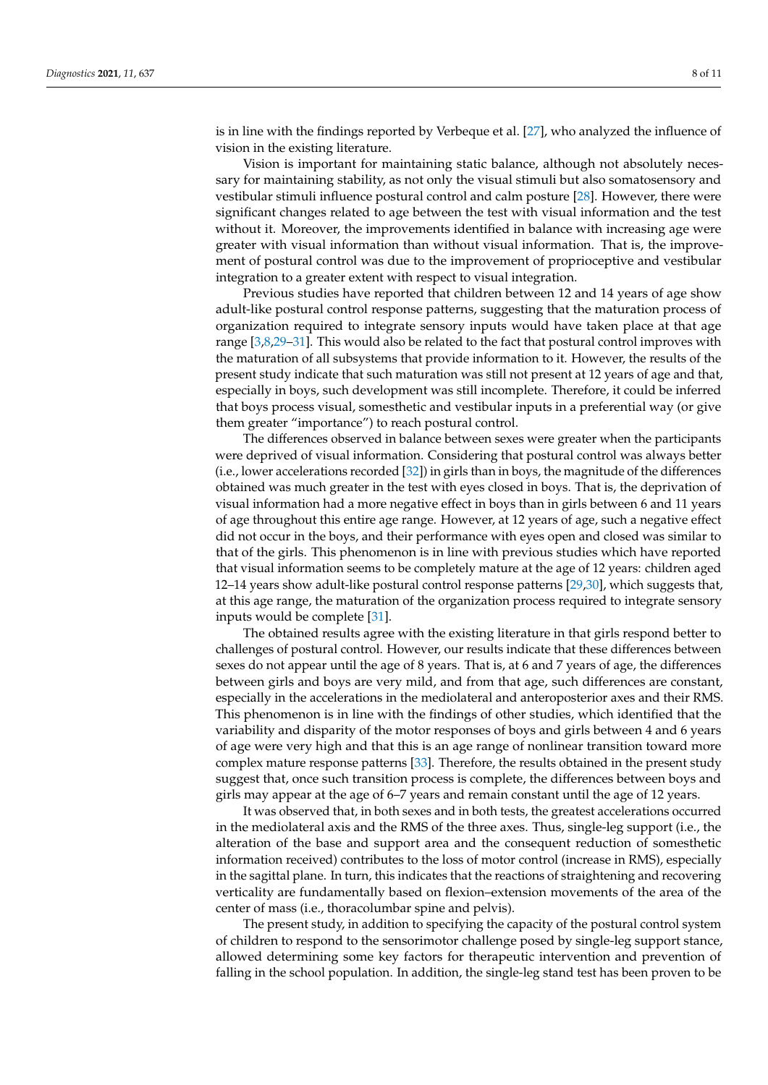is in line with the findings reported by Verbeque et al. [\[27\]](#page-9-25), who analyzed the influence of vision in the existing literature.

Vision is important for maintaining static balance, although not absolutely necessary for maintaining stability, as not only the visual stimuli but also somatosensory and vestibular stimuli influence postural control and calm posture [\[28\]](#page-9-26). However, there were significant changes related to age between the test with visual information and the test without it. Moreover, the improvements identified in balance with increasing age were greater with visual information than without visual information. That is, the improvement of postural control was due to the improvement of proprioceptive and vestibular integration to a greater extent with respect to visual integration.

Previous studies have reported that children between 12 and 14 years of age show adult-like postural control response patterns, suggesting that the maturation process of organization required to integrate sensory inputs would have taken place at that age range [\[3](#page-9-2)[,8,](#page-9-7)[29](#page-9-27)[–31\]](#page-10-0). This would also be related to the fact that postural control improves with the maturation of all subsystems that provide information to it. However, the results of the present study indicate that such maturation was still not present at 12 years of age and that, especially in boys, such development was still incomplete. Therefore, it could be inferred that boys process visual, somesthetic and vestibular inputs in a preferential way (or give them greater "importance") to reach postural control.

The differences observed in balance between sexes were greater when the participants were deprived of visual information. Considering that postural control was always better (i.e., lower accelerations recorded [\[32\]](#page-10-1)) in girls than in boys, the magnitude of the differences obtained was much greater in the test with eyes closed in boys. That is, the deprivation of visual information had a more negative effect in boys than in girls between 6 and 11 years of age throughout this entire age range. However, at 12 years of age, such a negative effect did not occur in the boys, and their performance with eyes open and closed was similar to that of the girls. This phenomenon is in line with previous studies which have reported that visual information seems to be completely mature at the age of 12 years: children aged 12–14 years show adult-like postural control response patterns [\[29](#page-9-27)[,30\]](#page-10-2), which suggests that, at this age range, the maturation of the organization process required to integrate sensory inputs would be complete [\[31\]](#page-10-0).

The obtained results agree with the existing literature in that girls respond better to challenges of postural control. However, our results indicate that these differences between sexes do not appear until the age of 8 years. That is, at 6 and 7 years of age, the differences between girls and boys are very mild, and from that age, such differences are constant, especially in the accelerations in the mediolateral and anteroposterior axes and their RMS. This phenomenon is in line with the findings of other studies, which identified that the variability and disparity of the motor responses of boys and girls between 4 and 6 years of age were very high and that this is an age range of nonlinear transition toward more complex mature response patterns [\[33\]](#page-10-3). Therefore, the results obtained in the present study suggest that, once such transition process is complete, the differences between boys and girls may appear at the age of 6–7 years and remain constant until the age of 12 years.

It was observed that, in both sexes and in both tests, the greatest accelerations occurred in the mediolateral axis and the RMS of the three axes. Thus, single-leg support (i.e., the alteration of the base and support area and the consequent reduction of somesthetic information received) contributes to the loss of motor control (increase in RMS), especially in the sagittal plane. In turn, this indicates that the reactions of straightening and recovering verticality are fundamentally based on flexion–extension movements of the area of the center of mass (i.e., thoracolumbar spine and pelvis).

The present study, in addition to specifying the capacity of the postural control system of children to respond to the sensorimotor challenge posed by single-leg support stance, allowed determining some key factors for therapeutic intervention and prevention of falling in the school population. In addition, the single-leg stand test has been proven to be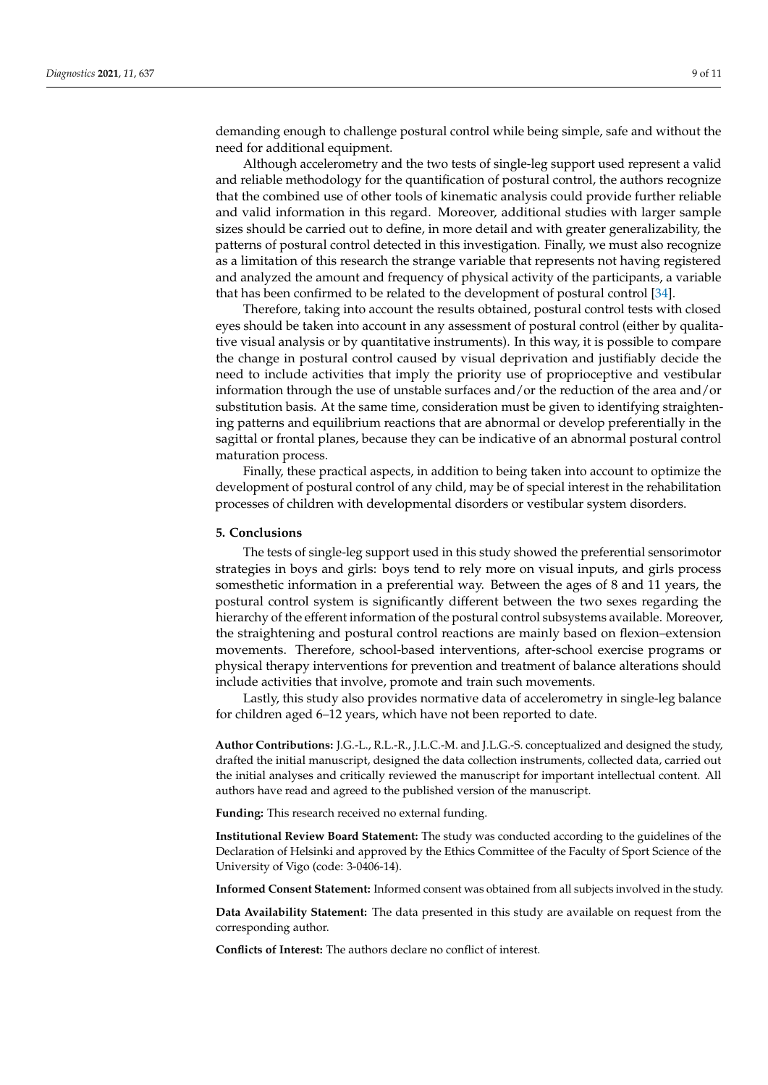demanding enough to challenge postural control while being simple, safe and without the need for additional equipment.

Although accelerometry and the two tests of single-leg support used represent a valid and reliable methodology for the quantification of postural control, the authors recognize that the combined use of other tools of kinematic analysis could provide further reliable and valid information in this regard. Moreover, additional studies with larger sample sizes should be carried out to define, in more detail and with greater generalizability, the patterns of postural control detected in this investigation. Finally, we must also recognize as a limitation of this research the strange variable that represents not having registered and analyzed the amount and frequency of physical activity of the participants, a variable that has been confirmed to be related to the development of postural control [\[34\]](#page-10-4).

Therefore, taking into account the results obtained, postural control tests with closed eyes should be taken into account in any assessment of postural control (either by qualitative visual analysis or by quantitative instruments). In this way, it is possible to compare the change in postural control caused by visual deprivation and justifiably decide the need to include activities that imply the priority use of proprioceptive and vestibular information through the use of unstable surfaces and/or the reduction of the area and/or substitution basis. At the same time, consideration must be given to identifying straightening patterns and equilibrium reactions that are abnormal or develop preferentially in the sagittal or frontal planes, because they can be indicative of an abnormal postural control maturation process.

Finally, these practical aspects, in addition to being taken into account to optimize the development of postural control of any child, may be of special interest in the rehabilitation processes of children with developmental disorders or vestibular system disorders.

## **5. Conclusions**

The tests of single-leg support used in this study showed the preferential sensorimotor strategies in boys and girls: boys tend to rely more on visual inputs, and girls process somesthetic information in a preferential way. Between the ages of 8 and 11 years, the postural control system is significantly different between the two sexes regarding the hierarchy of the efferent information of the postural control subsystems available. Moreover, the straightening and postural control reactions are mainly based on flexion–extension movements. Therefore, school-based interventions, after-school exercise programs or physical therapy interventions for prevention and treatment of balance alterations should include activities that involve, promote and train such movements.

Lastly, this study also provides normative data of accelerometry in single-leg balance for children aged 6–12 years, which have not been reported to date.

**Author Contributions:** J.G.-L., R.L.-R., J.L.C.-M. and J.L.G.-S. conceptualized and designed the study, drafted the initial manuscript, designed the data collection instruments, collected data, carried out the initial analyses and critically reviewed the manuscript for important intellectual content. All authors have read and agreed to the published version of the manuscript.

**Funding:** This research received no external funding.

**Institutional Review Board Statement:** The study was conducted according to the guidelines of the Declaration of Helsinki and approved by the Ethics Committee of the Faculty of Sport Science of the University of Vigo (code: 3-0406-14).

**Informed Consent Statement:** Informed consent was obtained from all subjects involved in the study.

**Data Availability Statement:** The data presented in this study are available on request from the corresponding author.

**Conflicts of Interest:** The authors declare no conflict of interest.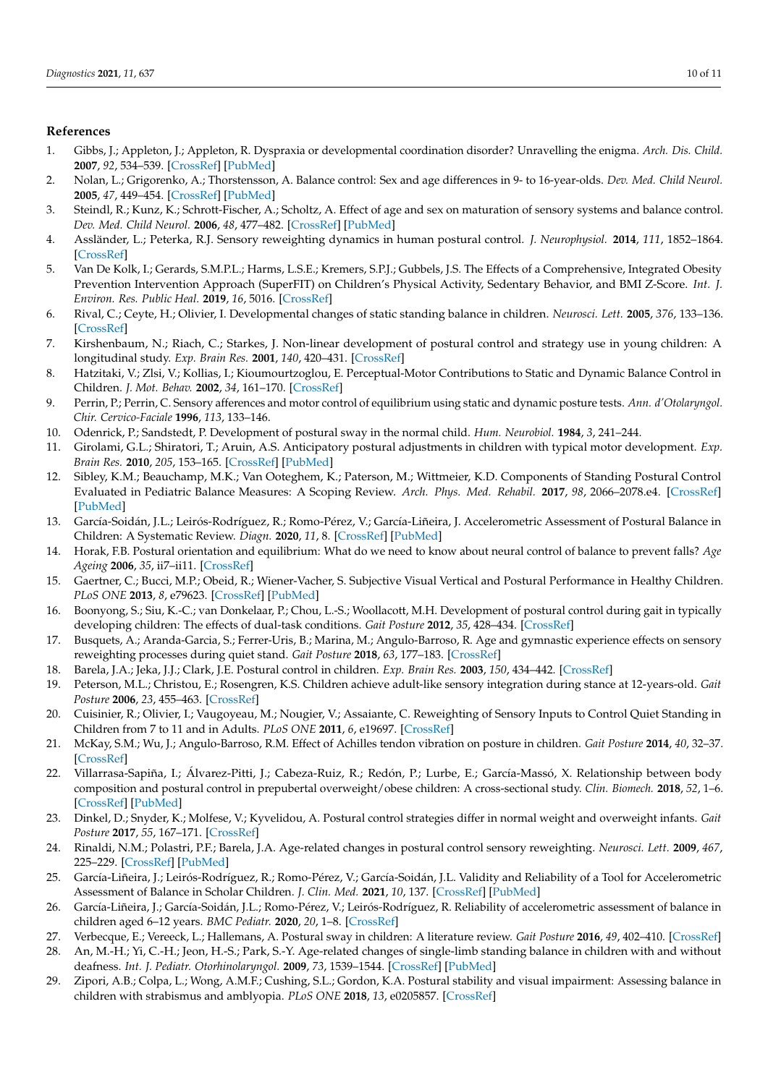## **References**

- <span id="page-9-0"></span>1. Gibbs, J.; Appleton, J.; Appleton, R. Dyspraxia or developmental coordination disorder? Unravelling the enigma. *Arch. Dis. Child.* **2007**, *92*, 534–539. [\[CrossRef\]](http://doi.org/10.1136/adc.2005.088054) [\[PubMed\]](http://www.ncbi.nlm.nih.gov/pubmed/17515623)
- <span id="page-9-1"></span>2. Nolan, L.; Grigorenko, A.; Thorstensson, A. Balance control: Sex and age differences in 9- to 16-year-olds. *Dev. Med. Child Neurol.* **2005**, *47*, 449–454. [\[CrossRef\]](http://doi.org/10.1017/S0012162205000873) [\[PubMed\]](http://www.ncbi.nlm.nih.gov/pubmed/15991864)
- <span id="page-9-2"></span>3. Steindl, R.; Kunz, K.; Schrott-Fischer, A.; Scholtz, A. Effect of age and sex on maturation of sensory systems and balance control. *Dev. Med. Child Neurol.* **2006**, *48*, 477–482. [\[CrossRef\]](http://doi.org/10.1017/S0012162206001022) [\[PubMed\]](http://www.ncbi.nlm.nih.gov/pubmed/16700940)
- <span id="page-9-3"></span>4. Assländer, L.; Peterka, R.J. Sensory reweighting dynamics in human postural control. *J. Neurophysiol.* **2014**, *111*, 1852–1864. [\[CrossRef\]](http://doi.org/10.1152/jn.00669.2013)
- <span id="page-9-4"></span>5. Van De Kolk, I.; Gerards, S.M.P.L.; Harms, L.S.E.; Kremers, S.P.J.; Gubbels, J.S. The Effects of a Comprehensive, Integrated Obesity Prevention Intervention Approach (SuperFIT) on Children's Physical Activity, Sedentary Behavior, and BMI Z-Score. *Int. J. Environ. Res. Public Heal.* **2019**, *16*, 5016. [\[CrossRef\]](http://doi.org/10.3390/ijerph16245016)
- <span id="page-9-5"></span>6. Rival, C.; Ceyte, H.; Olivier, I. Developmental changes of static standing balance in children. *Neurosci. Lett.* **2005**, *376*, 133–136. [\[CrossRef\]](http://doi.org/10.1016/j.neulet.2004.11.042)
- <span id="page-9-6"></span>7. Kirshenbaum, N.; Riach, C.; Starkes, J. Non-linear development of postural control and strategy use in young children: A longitudinal study. *Exp. Brain Res.* **2001**, *140*, 420–431. [\[CrossRef\]](http://doi.org/10.1007/s002210100835)
- <span id="page-9-7"></span>8. Hatzitaki, V.; Zlsi, V.; Kollias, I.; Kioumourtzoglou, E. Perceptual-Motor Contributions to Static and Dynamic Balance Control in Children. *J. Mot. Behav.* **2002**, *34*, 161–170. [\[CrossRef\]](http://doi.org/10.1080/00222890209601938)
- <span id="page-9-8"></span>9. Perrin, P.; Perrin, C. Sensory afferences and motor control of equilibrium using static and dynamic posture tests. *Ann. d'Otolaryngol. Chir. Cervico-Faciale* **1996**, *113*, 133–146.
- <span id="page-9-9"></span>10. Odenrick, P.; Sandstedt, P. Development of postural sway in the normal child. *Hum. Neurobiol.* **1984**, *3*, 241–244.
- <span id="page-9-10"></span>11. Girolami, G.L.; Shiratori, T.; Aruin, A.S. Anticipatory postural adjustments in children with typical motor development. *Exp. Brain Res.* **2010**, *205*, 153–165. [\[CrossRef\]](http://doi.org/10.1007/s00221-010-2347-7) [\[PubMed\]](http://www.ncbi.nlm.nih.gov/pubmed/20644921)
- <span id="page-9-11"></span>12. Sibley, K.M.; Beauchamp, M.K.; Van Ooteghem, K.; Paterson, M.; Wittmeier, K.D. Components of Standing Postural Control Evaluated in Pediatric Balance Measures: A Scoping Review. *Arch. Phys. Med. Rehabil.* **2017**, *98*, 2066–2078.e4. [\[CrossRef\]](http://doi.org/10.1016/j.apmr.2017.02.032) [\[PubMed\]](http://www.ncbi.nlm.nih.gov/pubmed/28438514)
- <span id="page-9-12"></span>13. García-Soidán, J.L.; Leirós-Rodríguez, R.; Romo-Pérez, V.; García-Liñeira, J. Accelerometric Assessment of Postural Balance in Children: A Systematic Review. *Diagn.* **2020**, *11*, 8. [\[CrossRef\]](http://doi.org/10.3390/diagnostics11010008) [\[PubMed\]](http://www.ncbi.nlm.nih.gov/pubmed/33375206)
- <span id="page-9-13"></span>14. Horak, F.B. Postural orientation and equilibrium: What do we need to know about neural control of balance to prevent falls? *Age Ageing* **2006**, *35*, ii7–ii11. [\[CrossRef\]](http://doi.org/10.1093/ageing/afl077)
- 15. Gaertner, C.; Bucci, M.P.; Obeid, R.; Wiener-Vacher, S. Subjective Visual Vertical and Postural Performance in Healthy Children. *PLoS ONE* **2013**, *8*, e79623. [\[CrossRef\]](http://doi.org/10.1371/journal.pone.0079623) [\[PubMed\]](http://www.ncbi.nlm.nih.gov/pubmed/24236146)
- <span id="page-9-14"></span>16. Boonyong, S.; Siu, K.-C.; van Donkelaar, P.; Chou, L.-S.; Woollacott, M.H. Development of postural control during gait in typically developing children: The effects of dual-task conditions. *Gait Posture* **2012**, *35*, 428–434. [\[CrossRef\]](http://doi.org/10.1016/j.gaitpost.2011.11.002)
- <span id="page-9-15"></span>17. Busquets, A.; Aranda-Garcia, S.; Ferrer-Uris, B.; Marina, M.; Angulo-Barroso, R. Age and gymnastic experience effects on sensory reweighting processes during quiet stand. *Gait Posture* **2018**, *63*, 177–183. [\[CrossRef\]](http://doi.org/10.1016/j.gaitpost.2018.05.009)
- <span id="page-9-16"></span>18. Barela, J.A.; Jeka, J.J.; Clark, J.E. Postural control in children. *Exp. Brain Res.* **2003**, *150*, 434–442. [\[CrossRef\]](http://doi.org/10.1007/s00221-003-1441-5)
- <span id="page-9-17"></span>19. Peterson, M.L.; Christou, E.; Rosengren, K.S. Children achieve adult-like sensory integration during stance at 12-years-old. *Gait Posture* **2006**, *23*, 455–463. [\[CrossRef\]](http://doi.org/10.1016/j.gaitpost.2005.05.003)
- <span id="page-9-18"></span>20. Cuisinier, R.; Olivier, I.; Vaugoyeau, M.; Nougier, V.; Assaiante, C. Reweighting of Sensory Inputs to Control Quiet Standing in Children from 7 to 11 and in Adults. *PLoS ONE* **2011**, *6*, e19697. [\[CrossRef\]](http://doi.org/10.1371/journal.pone.0019697)
- <span id="page-9-19"></span>21. McKay, S.M.; Wu, J.; Angulo-Barroso, R.M. Effect of Achilles tendon vibration on posture in children. *Gait Posture* **2014**, *40*, 32–37. [\[CrossRef\]](http://doi.org/10.1016/j.gaitpost.2014.02.002)
- <span id="page-9-20"></span>22. Villarrasa-Sapiña, I.; Álvarez-Pitti, J.; Cabeza-Ruiz, R.; Redón, P.; Lurbe, E.; García-Massó, X. Relationship between body composition and postural control in prepubertal overweight/obese children: A cross-sectional study. *Clin. Biomech.* **2018**, *52*, 1–6. [\[CrossRef\]](http://doi.org/10.1016/j.clinbiomech.2017.12.010) [\[PubMed\]](http://www.ncbi.nlm.nih.gov/pubmed/29291461)
- <span id="page-9-21"></span>23. Dinkel, D.; Snyder, K.; Molfese, V.; Kyvelidou, A. Postural control strategies differ in normal weight and overweight infants. *Gait Posture* **2017**, *55*, 167–171. [\[CrossRef\]](http://doi.org/10.1016/j.gaitpost.2017.04.017)
- <span id="page-9-22"></span>24. Rinaldi, N.M.; Polastri, P.F.; Barela, J.A. Age-related changes in postural control sensory reweighting. *Neurosci. Lett.* **2009**, *467*, 225–229. [\[CrossRef\]](http://doi.org/10.1016/j.neulet.2009.10.042) [\[PubMed\]](http://www.ncbi.nlm.nih.gov/pubmed/19840830)
- <span id="page-9-23"></span>25. García-Liñeira, J.; Leirós-Rodríguez, R.; Romo-Pérez, V.; García-Soidán, J.L. Validity and Reliability of a Tool for Accelerometric Assessment of Balance in Scholar Children. *J. Clin. Med.* **2021**, *10*, 137. [\[CrossRef\]](http://doi.org/10.3390/jcm10010137) [\[PubMed\]](http://www.ncbi.nlm.nih.gov/pubmed/33401541)
- <span id="page-9-24"></span>26. García-Liñeira, J.; García-Soidán, J.L.; Romo-Pérez, V.; Leirós-Rodríguez, R. Reliability of accelerometric assessment of balance in children aged 6–12 years. *BMC Pediatr.* **2020**, *20*, 1–8. [\[CrossRef\]](http://doi.org/10.1186/s12887-020-02073-1)
- <span id="page-9-25"></span>27. Verbecque, E.; Vereeck, L.; Hallemans, A. Postural sway in children: A literature review. *Gait Posture* **2016**, *49*, 402–410. [\[CrossRef\]](http://doi.org/10.1016/j.gaitpost.2016.08.003)
- <span id="page-9-26"></span>28. An, M.-H.; Yi, C.-H.; Jeon, H.-S.; Park, S.-Y. Age-related changes of single-limb standing balance in children with and without deafness. *Int. J. Pediatr. Otorhinolaryngol.* **2009**, *73*, 1539–1544. [\[CrossRef\]](http://doi.org/10.1016/j.ijporl.2009.07.020) [\[PubMed\]](http://www.ncbi.nlm.nih.gov/pubmed/19720404)
- <span id="page-9-27"></span>29. Zipori, A.B.; Colpa, L.; Wong, A.M.F.; Cushing, S.L.; Gordon, K.A. Postural stability and visual impairment: Assessing balance in children with strabismus and amblyopia. *PLoS ONE* **2018**, *13*, e0205857. [\[CrossRef\]](http://doi.org/10.1371/journal.pone.0205857)